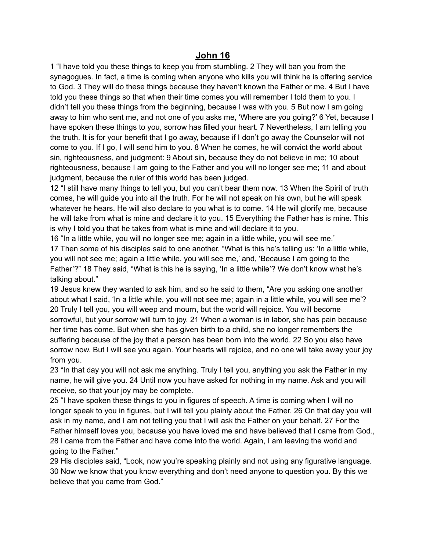## **John 16**

1 "I have told you these things to keep you from stumbling. 2 They will ban you from the synagogues. In fact, a time is coming when anyone who kills you will think he is offering service to God. 3 They will do these things because they haven't known the Father or me. 4 But I have told you these things so that when their time comes you will remember I told them to you. I didn't tell you these things from the beginning, because I was with you. 5 But now I am going away to him who sent me, and not one of you asks me, 'Where are you going?' 6 Yet, because I have spoken these things to you, sorrow has filled your heart. 7 Nevertheless, I am telling you the truth. It is for your benefit that I go away, because if I don't go away the Counselor will not come to you. If I go, I will send him to you. 8 When he comes, he will convict the world about sin, righteousness, and judgment: 9 About sin, because they do not believe in me; 10 about righteousness, because I am going to the Father and you will no longer see me; 11 and about judgment, because the ruler of this world has been judged.

12 "I still have many things to tell you, but you can't bear them now. 13 When the Spirit of truth comes, he will guide you into all the truth. For he will not speak on his own, but he will speak whatever he hears. He will also declare to you what is to come. 14 He will glorify me, because he will take from what is mine and declare it to you. 15 Everything the Father has is mine. This is why I told you that he takes from what is mine and will declare it to you.

16 "In a little while, you will no longer see me; again in a little while, you will see me." 17 Then some of his disciples said to one another, "What is this he's telling us: 'In a little while, you will not see me; again a little while, you will see me,' and, 'Because I am going to the Father'?" 18 They said, "What is this he is saying, 'In a little while'? We don't know what he's talking about."

19 Jesus knew they wanted to ask him, and so he said to them, "Are you asking one another about what I said, 'In a little while, you will not see me; again in a little while, you will see me'? 20 Truly I tell you, you will weep and mourn, but the world will rejoice. You will become sorrowful, but your sorrow will turn to joy. 21 When a woman is in labor, she has pain because her time has come. But when she has given birth to a child, she no longer remembers the suffering because of the joy that a person has been born into the world. 22 So you also have sorrow now. But I will see you again. Your hearts will rejoice, and no one will take away your joy from you.

23 "In that day you will not ask me anything. Truly I tell you, anything you ask the Father in my name, he will give you. 24 Until now you have asked for nothing in my name. Ask and you will receive, so that your joy may be complete.

25 "I have spoken these things to you in figures of speech. A time is coming when I will no longer speak to you in figures, but I will tell you plainly about the Father. 26 On that day you will ask in my name, and I am not telling you that I will ask the Father on your behalf. 27 For the Father himself loves you, because you have loved me and have believed that I came from God., 28 I came from the Father and have come into the world. Again, I am leaving the world and going to the Father."

29 His disciples said, "Look, now you're speaking plainly and not using any figurative language. 30 Now we know that you know everything and don't need anyone to question you. By this we believe that you came from God."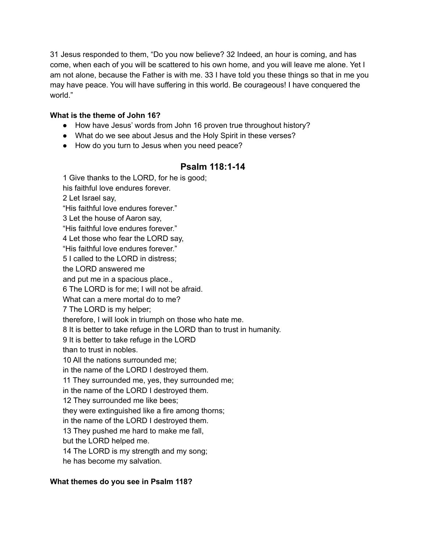31 Jesus responded to them, "Do you now believe? 32 Indeed, an hour is coming, and has come, when each of you will be scattered to his own home, and you will leave me alone. Yet I am not alone, because the Father is with me. 33 I have told you these things so that in me you may have peace. You will have suffering in this world. Be courageous! I have conquered the world."

## **What is the theme of John 16?**

- How have Jesus' words from John 16 proven true throughout history?
- What do we see about Jesus and the Holy Spirit in these verses?
- How do you turn to Jesus when you need peace?

## **Psalm 118:1-14**

1 Give thanks to the LORD, for he is good; his faithful love endures forever. 2 Let Israel say, "His faithful love endures forever." 3 Let the house of Aaron say, "His faithful love endures forever." 4 Let those who fear the LORD say, "His faithful love endures forever." 5 I called to the LORD in distress; the LORD answered me and put me in a spacious place., 6 The LORD is for me; I will not be afraid. What can a mere mortal do to me? 7 The LORD is my helper; therefore, I will look in triumph on those who hate me. 8 It is better to take refuge in the LORD than to trust in humanity. 9 It is better to take refuge in the LORD than to trust in nobles. 10 All the nations surrounded me; in the name of the LORD I destroyed them. 11 They surrounded me, yes, they surrounded me; in the name of the LORD I destroyed them. 12 They surrounded me like bees; they were extinguished like a fire among thorns; in the name of the LORD I destroyed them. 13 They pushed me hard to make me fall, but the LORD helped me. 14 The LORD is my strength and my song; he has become my salvation.

## **What themes do you see in Psalm 118?**